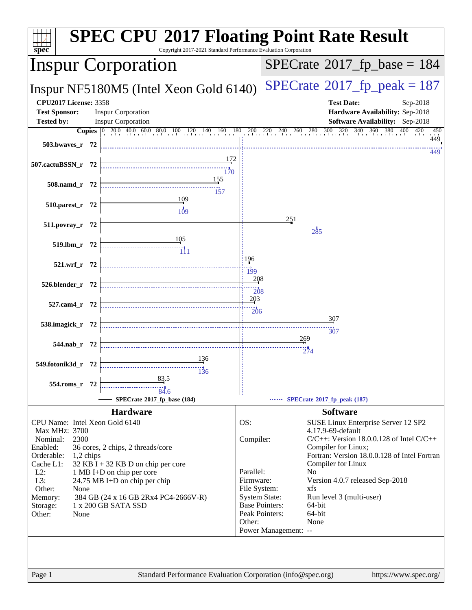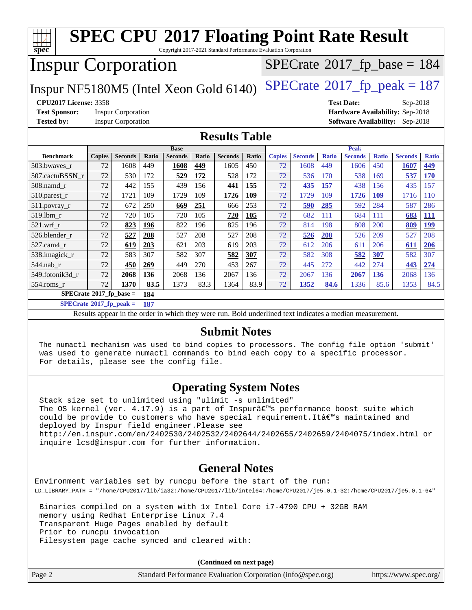| <b>SPEC CPU®2017 Floating Point Rate Result</b><br>Copyright 2017-2021 Standard Performance Evaluation Corporation |        |                           |       |                |       |                |       |                                 |                |              |                |                                            |                                        |              |
|--------------------------------------------------------------------------------------------------------------------|--------|---------------------------|-------|----------------|-------|----------------|-------|---------------------------------|----------------|--------------|----------------|--------------------------------------------|----------------------------------------|--------------|
| spec<br><b>Inspur Corporation</b>                                                                                  |        |                           |       |                |       |                |       |                                 |                |              |                | $SPECrate$ <sup>®</sup> 2017_fp_base = 184 |                                        |              |
| $SPECTate@2017_fp\_peak = 187$<br>Inspur NF5180M5 (Intel Xeon Gold 6140)                                           |        |                           |       |                |       |                |       |                                 |                |              |                |                                            |                                        |              |
| <b>CPU2017 License: 3358</b>                                                                                       |        |                           |       |                |       |                |       | <b>Test Date:</b><br>Sep-2018   |                |              |                |                                            |                                        |              |
| <b>Test Sponsor:</b><br><b>Inspur Corporation</b>                                                                  |        |                           |       |                |       |                |       | Hardware Availability: Sep-2018 |                |              |                |                                            |                                        |              |
| <b>Tested by:</b>                                                                                                  |        | <b>Inspur Corporation</b> |       |                |       |                |       |                                 |                |              |                |                                            | <b>Software Availability:</b> Sep-2018 |              |
| <b>Results Table</b>                                                                                               |        |                           |       |                |       |                |       |                                 |                |              |                |                                            |                                        |              |
|                                                                                                                    |        |                           |       | <b>Base</b>    |       |                |       | Peak                            |                |              |                |                                            |                                        |              |
| <b>Benchmark</b>                                                                                                   | Copies | <b>Seconds</b>            | Ratio | <b>Seconds</b> | Ratio | <b>Seconds</b> | Ratio | <b>Copies</b>                   | <b>Seconds</b> | <b>Ratio</b> | <b>Seconds</b> | <b>Ratio</b>                               | <b>Seconds</b>                         | <b>Ratio</b> |
| 503.bwaves_r                                                                                                       | 72     | 1608                      | 449   | 1608           | 449   | 1605           | 450   | 72                              | 1608           | 449          | 1606           | 450                                        | 1607                                   | 449          |
| 507.cactuBSSN_r                                                                                                    | 72     | 530                       | 172   | 529            | 172   | 528            | 172   | 72                              | 536            | 170          | 538            | 169                                        | 537                                    | <b>170</b>   |
| 508.namd r                                                                                                         | 72     | 442                       | 155   | 439            | 156   | 441            | 155   | 72                              | 435            | 157          | 438            | 156                                        | 435                                    | 157          |
| 510.parest_r                                                                                                       | 72     | 1721                      | 109   | 1729           | 109   | 1726           | 109   | 72                              | 1729           | 109          | 1726           | <b>109</b>                                 | 1716                                   | 110          |
| 511.povray_r                                                                                                       | 72     | 672                       | 250   | 669            | 251   | 666            | 253   | 72                              | 590            | 285          | 592            | 284                                        | 587                                    | 286          |
| 519.lbm r                                                                                                          | 72     | 720                       | 105   | 720            | 105   | 720            | 105   | 72                              | 682            | 111          | 684            | 111                                        | 683                                    | <b>111</b>   |
| 521.wrf r                                                                                                          | 72     | 823                       | 196   | 822            | 196   | 825            | 196   | 72                              | 814            | 198          | 808            | 200                                        | 809                                    | <b>199</b>   |
| 526.blender r                                                                                                      | 72     | 527                       | 208   | 527            | 208   | 527            | 208   | 72                              | 526            | 208          | 526            | 209                                        | 527                                    | 208          |
| 527.cam4 r                                                                                                         | 72     | 619                       | 203   | 621            | 203   | 619            | 203   | 72                              | 612            | 206          | 611            | 206                                        | 611                                    | 206          |
| 538.imagick_r                                                                                                      | 72     | 583                       | 307   | 582            | 307   | 582            | 307   | 72                              | 582            | 308          | 582            | 307                                        | 582                                    | 307          |
| 544.nab r                                                                                                          | 72     | 450                       | 269   | 449            | 270   | 453            | 267   | 72                              | 445            | 272          | 442            | 274                                        | 443                                    | 274          |
| 549.fotonik3d r                                                                                                    | 72     | 2068                      | 136   | 2068           | 136   | 2067           | 136   | 72                              | 2067           | 136          | 2067           | 136                                        | 2068                                   | 136          |
| 554.roms_r                                                                                                         | 72     | 1370                      | 83.5  | 1373           | 83.3  | 1364           | 83.9  | 72                              | 1352           | 84.6         | 1336           | 85.6                                       | 1353                                   | 84.5         |
| $SPECrate^*2017_fp\_base =$                                                                                        |        |                           | 184   |                |       |                |       |                                 |                |              |                |                                            |                                        |              |
| $SPECrate^{\circ}2017$ fp peak =                                                                                   |        |                           | 187   |                |       |                |       |                                 |                |              |                |                                            |                                        |              |

Results appear in the [order in which they were run.](http://www.spec.org/auto/cpu2017/Docs/result-fields.html#RunOrder) Bold underlined text [indicates a median measurement.](http://www.spec.org/auto/cpu2017/Docs/result-fields.html#Median)

#### **[Submit Notes](http://www.spec.org/auto/cpu2017/Docs/result-fields.html#SubmitNotes)**

 The numactl mechanism was used to bind copies to processors. The config file option 'submit' was used to generate numactl commands to bind each copy to a specific processor. For details, please see the config file.

### **[Operating System Notes](http://www.spec.org/auto/cpu2017/Docs/result-fields.html#OperatingSystemNotes)**

 Stack size set to unlimited using "ulimit -s unlimited" The OS kernel (ver.  $4.17.9$ ) is a part of Inspurâ $\varepsilon^{ms}$ s performance boost suite which could be provide to customers who have special requirement. It all maintained and deployed by Inspur field engineer.Please see <http://en.inspur.com/en/2402530/2402532/2402644/2402655/2402659/2404075/index.html> or inquire lcsd@inspur.com for further information.

### **[General Notes](http://www.spec.org/auto/cpu2017/Docs/result-fields.html#GeneralNotes)**

Environment variables set by runcpu before the start of the run: LD\_LIBRARY\_PATH = "/home/CPU2017/lib/ia32:/home/CPU2017/lib/intel64:/home/CPU2017/je5.0.1-32:/home/CPU2017/je5.0.1-64"

 Binaries compiled on a system with 1x Intel Core i7-4790 CPU + 32GB RAM memory using Redhat Enterprise Linux 7.4 Transparent Huge Pages enabled by default Prior to runcpu invocation Filesystem page cache synced and cleared with:

**(Continued on next page)**

|        | (Continued on next page)                                    |                       |
|--------|-------------------------------------------------------------|-----------------------|
| Page 2 | Standard Performance Evaluation Corporation (info@spec.org) | https://www.spec.org/ |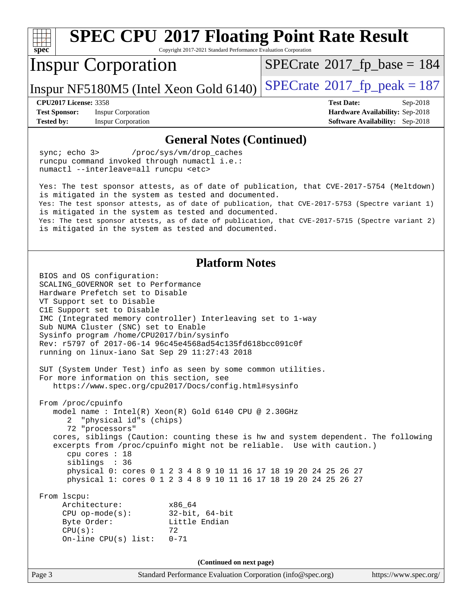| <b>SPEC CPU®2017 Floating Point Rate Result</b><br>Copyright 2017-2021 Standard Performance Evaluation Corporation<br>spec <sup>®</sup>                                                                                                                                                                                                                                                                                                                                                                                                                                                                                                                                                                                                                                                                                                                                                                                                                                                                                                        |                                                                  |  |  |  |  |
|------------------------------------------------------------------------------------------------------------------------------------------------------------------------------------------------------------------------------------------------------------------------------------------------------------------------------------------------------------------------------------------------------------------------------------------------------------------------------------------------------------------------------------------------------------------------------------------------------------------------------------------------------------------------------------------------------------------------------------------------------------------------------------------------------------------------------------------------------------------------------------------------------------------------------------------------------------------------------------------------------------------------------------------------|------------------------------------------------------------------|--|--|--|--|
| <b>Inspur Corporation</b>                                                                                                                                                                                                                                                                                                                                                                                                                                                                                                                                                                                                                                                                                                                                                                                                                                                                                                                                                                                                                      | $SPECTate@2017_fp\_base = 184$                                   |  |  |  |  |
| Inspur NF5180M5 (Intel Xeon Gold 6140)                                                                                                                                                                                                                                                                                                                                                                                                                                                                                                                                                                                                                                                                                                                                                                                                                                                                                                                                                                                                         | $SPECrate@2017_fp\_peak = 187$                                   |  |  |  |  |
| <b>CPU2017 License: 3358</b><br><b>Test Sponsor:</b><br><b>Inspur Corporation</b>                                                                                                                                                                                                                                                                                                                                                                                                                                                                                                                                                                                                                                                                                                                                                                                                                                                                                                                                                              | <b>Test Date:</b><br>Sep-2018<br>Hardware Availability: Sep-2018 |  |  |  |  |
| <b>Tested by:</b><br><b>Inspur Corporation</b>                                                                                                                                                                                                                                                                                                                                                                                                                                                                                                                                                                                                                                                                                                                                                                                                                                                                                                                                                                                                 | <b>Software Availability:</b> Sep-2018                           |  |  |  |  |
| <b>General Notes (Continued)</b>                                                                                                                                                                                                                                                                                                                                                                                                                                                                                                                                                                                                                                                                                                                                                                                                                                                                                                                                                                                                               |                                                                  |  |  |  |  |
| sync $i$ echo $3$<br>/proc/sys/vm/drop_caches<br>runcpu command invoked through numactl i.e.:<br>numactl --interleave=all runcpu <etc></etc>                                                                                                                                                                                                                                                                                                                                                                                                                                                                                                                                                                                                                                                                                                                                                                                                                                                                                                   |                                                                  |  |  |  |  |
| Yes: The test sponsor attests, as of date of publication, that CVE-2017-5754 (Meltdown)<br>is mitigated in the system as tested and documented.<br>Yes: The test sponsor attests, as of date of publication, that CVE-2017-5753 (Spectre variant 1)<br>is mitigated in the system as tested and documented.<br>Yes: The test sponsor attests, as of date of publication, that CVE-2017-5715 (Spectre variant 2)<br>is mitigated in the system as tested and documented.                                                                                                                                                                                                                                                                                                                                                                                                                                                                                                                                                                        |                                                                  |  |  |  |  |
| <b>Platform Notes</b><br>BIOS and OS configuration:<br>SCALING_GOVERNOR set to Performance<br>Hardware Prefetch set to Disable<br>VT Support set to Disable<br>C1E Support set to Disable<br>IMC (Integrated memory controller) Interleaving set to 1-way<br>Sub NUMA Cluster (SNC) set to Enable<br>Sysinfo program /home/CPU2017/bin/sysinfo<br>Rev: r5797 of 2017-06-14 96c45e4568ad54c135fd618bcc091c0f<br>running on linux-iano Sat Sep 29 11:27:43 2018<br>SUT (System Under Test) info as seen by some common utilities.<br>For more information on this section, see<br>https://www.spec.org/cpu2017/Docs/config.html#sysinfo<br>From /proc/cpuinfo<br>model name : Intel(R) Xeon(R) Gold 6140 CPU @ 2.30GHz<br>"physical id"s (chips)<br>2<br>72 "processors"<br>cores, siblings (Caution: counting these is hw and system dependent. The following<br>excerpts from /proc/cpuinfo might not be reliable. Use with caution.)<br>cpu cores $: 18$<br>siblings : 36<br>physical 0: cores 0 1 2 3 4 8 9 10 11 16 17 18 19 20 24 25 26 27 |                                                                  |  |  |  |  |
| physical 1: cores 0 1 2 3 4 8 9 10 11 16 17 18 19 20 24 25 26 27<br>From 1scpu:<br>Architecture:<br>x86_64<br>$CPU$ op-mode(s):<br>32-bit, 64-bit<br>Byte Order:<br>Little Endian<br>CPU(s):<br>72<br>On-line $CPU(s)$ list:<br>$0 - 71$                                                                                                                                                                                                                                                                                                                                                                                                                                                                                                                                                                                                                                                                                                                                                                                                       |                                                                  |  |  |  |  |
| (Continued on next page)                                                                                                                                                                                                                                                                                                                                                                                                                                                                                                                                                                                                                                                                                                                                                                                                                                                                                                                                                                                                                       |                                                                  |  |  |  |  |
| Page 3<br>Standard Performance Evaluation Corporation (info@spec.org)                                                                                                                                                                                                                                                                                                                                                                                                                                                                                                                                                                                                                                                                                                                                                                                                                                                                                                                                                                          | https://www.spec.org/                                            |  |  |  |  |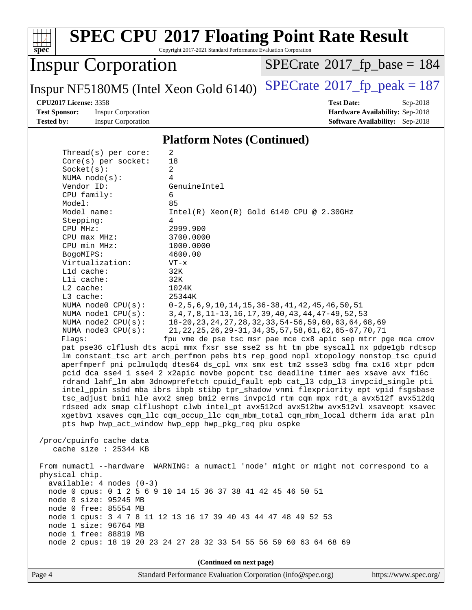#### **[spec](http://www.spec.org/) [SPEC CPU](http://www.spec.org/auto/cpu2017/Docs/result-fields.html#SPECCPU2017FloatingPointRateResult)[2017 Floating Point Rate Result](http://www.spec.org/auto/cpu2017/Docs/result-fields.html#SPECCPU2017FloatingPointRateResult)** Copyright 2017-2021 Standard Performance Evaluation Corporation Inspur Corporation Inspur NF5180M5 (Intel Xeon Gold 6140)  $SPECrate^{\circ}2017_f$  $SPECrate^{\circ}2017_f$  peak = 187  $SPECTate$ <sup>®</sup>[2017\\_fp\\_base =](http://www.spec.org/auto/cpu2017/Docs/result-fields.html#SPECrate2017fpbase) 184 **[CPU2017 License:](http://www.spec.org/auto/cpu2017/Docs/result-fields.html#CPU2017License)** 3358 **[Test Date:](http://www.spec.org/auto/cpu2017/Docs/result-fields.html#TestDate)** Sep-2018 **[Test Sponsor:](http://www.spec.org/auto/cpu2017/Docs/result-fields.html#TestSponsor)** Inspur Corporation **[Hardware Availability:](http://www.spec.org/auto/cpu2017/Docs/result-fields.html#HardwareAvailability)** Sep-2018 **[Tested by:](http://www.spec.org/auto/cpu2017/Docs/result-fields.html#Testedby)** Inspur Corporation **[Software Availability:](http://www.spec.org/auto/cpu2017/Docs/result-fields.html#SoftwareAvailability)** Sep-2018 **[Platform Notes \(Continued\)](http://www.spec.org/auto/cpu2017/Docs/result-fields.html#PlatformNotes)** Thread(s) per core: 2 Core(s) per socket: 18 Socket(s): 2 NUMA node(s): 4 Vendor ID: GenuineIntel CPU family: 6 Model: 85<br>Model name: 1n  $Intel(R)$  Xeon(R) Gold 6140 CPU @ 2.30GHz Stepping: 4 CPU MHz: 2999.900 CPU max MHz: 3700.0000 CPU min MHz: 1000.0000 BogoMIPS: 4600.00 Virtualization: VT-x L1d cache: 32K L1i cache: 32K L2 cache: 1024K L3 cache: 25344K NUMA node0 CPU(s): 0-2,5,6,9,10,14,15,36-38,41,42,45,46,50,51 NUMA node1 CPU(s): 3,4,7,8,11-13,16,17,39,40,43,44,47-49,52,53 NUMA node2 CPU(s): 18-20,23,24,27,28,32,33,54-56,59,60,63,64,68,69 NUMA node3 CPU(s): 21,22,25,26,29-31,34,35,57,58,61,62,65-67,70,71 Flags: fpu vme de pse tsc msr pae mce cx8 apic sep mtrr pge mca cmov pat pse36 clflush dts acpi mmx fxsr sse sse2 ss ht tm pbe syscall nx pdpe1gb rdtscp lm constant\_tsc art arch\_perfmon pebs bts rep\_good nopl xtopology nonstop\_tsc cpuid aperfmperf pni pclmulqdq dtes64 ds\_cpl vmx smx est tm2 ssse3 sdbg fma cx16 xtpr pdcm pcid dca sse4\_1 sse4\_2 x2apic movbe popcnt tsc\_deadline\_timer aes xsave avx f16c rdrand lahf\_lm abm 3dnowprefetch cpuid\_fault epb cat\_l3 cdp\_l3 invpcid\_single pti intel\_ppin ssbd mba ibrs ibpb stibp tpr\_shadow vnmi flexpriority ept vpid fsgsbase tsc\_adjust bmi1 hle avx2 smep bmi2 erms invpcid rtm cqm mpx rdt\_a avx512f avx512dq rdseed adx smap clflushopt clwb intel\_pt avx512cd avx512bw avx512vl xsaveopt xsavec xgetbv1 xsaves cqm\_llc cqm\_occup\_llc cqm\_mbm\_total cqm\_mbm\_local dtherm ida arat pln pts hwp hwp\_act\_window hwp\_epp hwp\_pkg\_req pku ospke /proc/cpuinfo cache data cache size : 25344 KB From numactl --hardware WARNING: a numactl 'node' might or might not correspond to a physical chip. available: 4 nodes (0-3) node 0 cpus: 0 1 2 5 6 9 10 14 15 36 37 38 41 42 45 46 50 51 node 0 size: 95245 MB node 0 free: 85554 MB node 1 cpus: 3 4 7 8 11 12 13 16 17 39 40 43 44 47 48 49 52 53 node 1 size: 96764 MB node 1 free: 88819 MB node 2 cpus: 18 19 20 23 24 27 28 32 33 54 55 56 59 60 63 64 68 69 **(Continued on next page)**

Page 4 Standard Performance Evaluation Corporation [\(info@spec.org\)](mailto:info@spec.org) <https://www.spec.org/>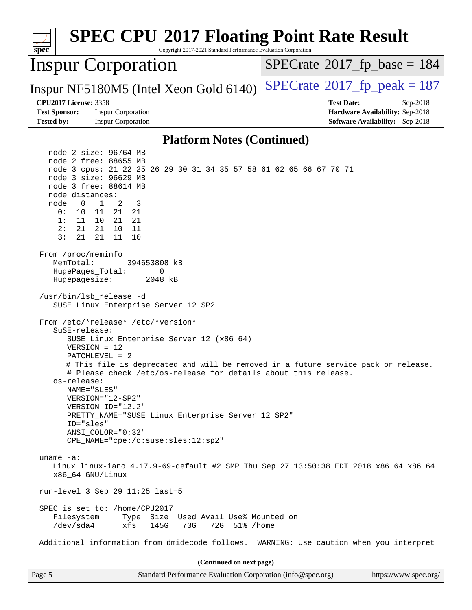| <b>SPEC CPU®2017 Floating Point Rate Result</b><br>spec<br>Copyright 2017-2021 Standard Performance Evaluation Corporation                                                                                                                                                                                                                                             |                                                                                                            |  |  |  |  |
|------------------------------------------------------------------------------------------------------------------------------------------------------------------------------------------------------------------------------------------------------------------------------------------------------------------------------------------------------------------------|------------------------------------------------------------------------------------------------------------|--|--|--|--|
| <b>Inspur Corporation</b>                                                                                                                                                                                                                                                                                                                                              | $SPECrate^{\circ}2017$ [p base = 184                                                                       |  |  |  |  |
| Inspur NF5180M5 (Intel Xeon Gold 6140)                                                                                                                                                                                                                                                                                                                                 | $SPECTate@2017_fp\_peak = 187$                                                                             |  |  |  |  |
| <b>CPU2017 License: 3358</b><br><b>Test Sponsor:</b><br><b>Inspur Corporation</b><br><b>Tested by:</b><br><b>Inspur Corporation</b>                                                                                                                                                                                                                                    | <b>Test Date:</b><br>Sep-2018<br>Hardware Availability: Sep-2018<br><b>Software Availability:</b> Sep-2018 |  |  |  |  |
|                                                                                                                                                                                                                                                                                                                                                                        |                                                                                                            |  |  |  |  |
| <b>Platform Notes (Continued)</b>                                                                                                                                                                                                                                                                                                                                      |                                                                                                            |  |  |  |  |
| node 2 size: 96764 MB<br>node 2 free: 88655 MB<br>node 3 cpus: 21 22 25 26 29 30 31 34 35 57 58 61 62 65 66 67 70 71<br>node 3 size: 96629 MB<br>node 3 free: 88614 MB<br>node distances:<br>$\overline{0}$<br>$\mathbf{1}$<br>2<br>node<br>3<br>0 :<br>10<br>11<br>21<br>21<br>1:<br>11<br>10<br>21<br>21<br>2:<br>21<br>21<br>10<br>11<br>3:<br>21<br>21<br>11<br>10 |                                                                                                            |  |  |  |  |
| From /proc/meminfo<br>MemTotal:<br>394653808 kB<br>HugePages_Total:<br>0<br>Hugepagesize:<br>2048 kB<br>/usr/bin/lsb_release -d                                                                                                                                                                                                                                        |                                                                                                            |  |  |  |  |
| SUSE Linux Enterprise Server 12 SP2<br>From /etc/*release* /etc/*version*<br>SuSE-release:<br>SUSE Linux Enterprise Server 12 (x86_64)<br>$VERSION = 12$<br>$PATCHLEVEL = 2$<br># This file is deprecated and will be removed in a future service pack or release.<br># Please check /etc/os-release for details about this release<br>os-release:<br>NAME="SLES"      |                                                                                                            |  |  |  |  |
| VERSION="12-SP2"<br>VERSION_ID="12.2"<br>PRETTY_NAME="SUSE Linux Enterprise Server 12 SP2"<br>ID="sles"<br>$ANSI$ _COLOR=" $0:32$ "<br>CPE_NAME="cpe:/o:suse:sles:12:sp2"                                                                                                                                                                                              |                                                                                                            |  |  |  |  |
| uname $-a$ :<br>Linux linux-iano 4.17.9-69-default #2 SMP Thu Sep 27 13:50:38 EDT 2018 x86_64 x86_64<br>x86_64 GNU/Linux                                                                                                                                                                                                                                               |                                                                                                            |  |  |  |  |
| run-level 3 Sep 29 11:25 last=5                                                                                                                                                                                                                                                                                                                                        |                                                                                                            |  |  |  |  |
| SPEC is set to: /home/CPU2017<br>Type Size Used Avail Use% Mounted on<br>Filesystem<br>/dev/sda4<br>145G<br>73G<br>72G 51% / home<br>xfs                                                                                                                                                                                                                               |                                                                                                            |  |  |  |  |
| Additional information from dmidecode follows. WARNING: Use caution when you interpret                                                                                                                                                                                                                                                                                 |                                                                                                            |  |  |  |  |
| (Continued on next page)                                                                                                                                                                                                                                                                                                                                               |                                                                                                            |  |  |  |  |
| Standard Performance Evaluation Corporation (info@spec.org)<br>Page 5                                                                                                                                                                                                                                                                                                  | https://www.spec.org/                                                                                      |  |  |  |  |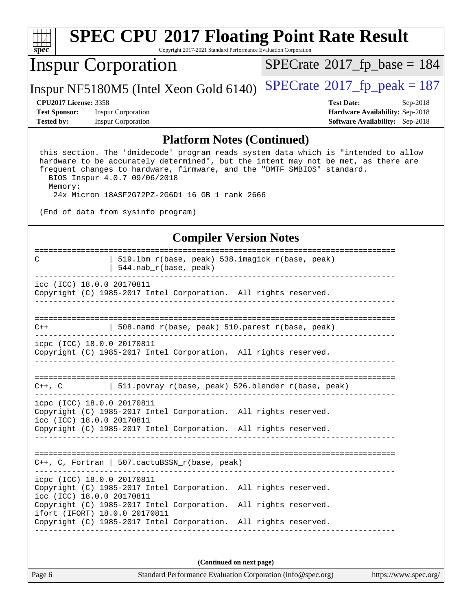

# **[SPEC CPU](http://www.spec.org/auto/cpu2017/Docs/result-fields.html#SPECCPU2017FloatingPointRateResult)[2017 Floating Point Rate Result](http://www.spec.org/auto/cpu2017/Docs/result-fields.html#SPECCPU2017FloatingPointRateResult)**

Copyright 2017-2021 Standard Performance Evaluation Corporation

### Inspur Corporation

 $SPECrate$ <sup>®</sup>[2017\\_fp\\_base =](http://www.spec.org/auto/cpu2017/Docs/result-fields.html#SPECrate2017fpbase) 184

Inspur NF5180M5 (Intel Xeon Gold 6140)  $SPECrate^{\circ}2017_f$  $SPECrate^{\circ}2017_f$  peak = 187

**[Test Sponsor:](http://www.spec.org/auto/cpu2017/Docs/result-fields.html#TestSponsor)** Inspur Corporation **[Hardware Availability:](http://www.spec.org/auto/cpu2017/Docs/result-fields.html#HardwareAvailability)** Sep-2018 **[Tested by:](http://www.spec.org/auto/cpu2017/Docs/result-fields.html#Testedby)** Inspur Corporation **[Software Availability:](http://www.spec.org/auto/cpu2017/Docs/result-fields.html#SoftwareAvailability)** Sep-2018

**[CPU2017 License:](http://www.spec.org/auto/cpu2017/Docs/result-fields.html#CPU2017License)** 3358 **[Test Date:](http://www.spec.org/auto/cpu2017/Docs/result-fields.html#TestDate)** Sep-2018

#### **[Platform Notes \(Continued\)](http://www.spec.org/auto/cpu2017/Docs/result-fields.html#PlatformNotes)**

 this section. The 'dmidecode' program reads system data which is "intended to allow hardware to be accurately determined", but the intent may not be met, as there are frequent changes to hardware, firmware, and the "DMTF SMBIOS" standard. BIOS Inspur 4.0.7 09/06/2018 Memory:

24x Micron 18ASF2G72PZ-2G6D1 16 GB 1 rank 2666

(End of data from sysinfo program)

#### **[Compiler Version Notes](http://www.spec.org/auto/cpu2017/Docs/result-fields.html#CompilerVersionNotes)**

| C                                                       | 519.1bm_r(base, peak) 538.imagick_r(base, peak)<br>$544.nab_r(base, peak)$                                                         |
|---------------------------------------------------------|------------------------------------------------------------------------------------------------------------------------------------|
| icc (ICC) 18.0.0 20170811                               | Copyright (C) 1985-2017 Intel Corporation. All rights reserved.                                                                    |
|                                                         |                                                                                                                                    |
| $C++$                                                   | 508.namd_r(base, peak) 510.parest_r(base, peak)                                                                                    |
| icpc (ICC) 18.0.0 20170811                              | Copyright (C) 1985-2017 Intel Corporation. All rights reserved.                                                                    |
|                                                         | $C++$ , C $\qquad$ 511. povray r(base, peak) 526. blender r(base, peak)                                                            |
| icpc (ICC) 18.0.0 20170811<br>icc (ICC) 18.0.0 20170811 | Copyright (C) 1985-2017 Intel Corporation. All rights reserved.<br>Copyright (C) 1985-2017 Intel Corporation. All rights reserved. |
|                                                         | $C++$ , C, Fortran   507.cactuBSSN_r(base, peak)                                                                                   |
| icpc (ICC) 18.0.0 20170811<br>icc (ICC) 18.0.0 20170811 | Copyright (C) 1985-2017 Intel Corporation. All rights reserved.                                                                    |
|                                                         | Copyright (C) 1985-2017 Intel Corporation. All rights reserved.<br>ifort (IFORT) 18.0.0 20170811                                   |

**(Continued on next page)**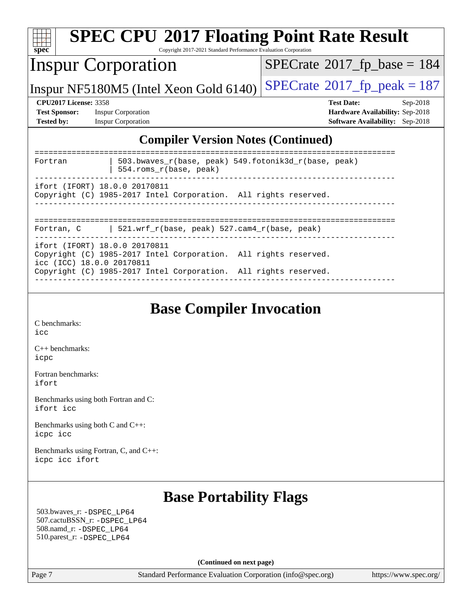| <b>Inspur Corporation</b>                                                                                                                                                                        | $SPECrate^{\circ}2017$ fp base = 184                                                                  |
|--------------------------------------------------------------------------------------------------------------------------------------------------------------------------------------------------|-------------------------------------------------------------------------------------------------------|
| Inspur NF5180M5 (Intel Xeon Gold 6140)                                                                                                                                                           | $SPECrate^{\circ}2017$ _fp_peak = 187                                                                 |
| <b>CPU2017 License: 3358</b><br><b>Test Sponsor:</b><br><b>Inspur Corporation</b><br><b>Inspur Corporation</b><br><b>Tested by:</b>                                                              | <b>Test Date:</b><br>$Sep-2018$<br>Hardware Availability: Sep-2018<br>Software Availability: Sep-2018 |
| <b>Compiler Version Notes (Continued)</b>                                                                                                                                                        |                                                                                                       |
| 503.bwaves_r(base, peak) 549.fotonik3d_r(base, peak)<br>Fortran<br>554.roms_r(base, peak)                                                                                                        |                                                                                                       |
| ifort (IFORT) 18.0.0 20170811<br>Copyright (C) 1985-2017 Intel Corporation. All rights reserved.                                                                                                 |                                                                                                       |
| 521.wrf_r(base, peak) 527.cam4_r(base, peak)<br>Fortran, C                                                                                                                                       |                                                                                                       |
| ifort (IFORT) 18.0.0 20170811<br>Copyright (C) 1985-2017 Intel Corporation. All rights reserved.<br>icc (ICC) 18.0.0 20170811<br>Copyright (C) 1985-2017 Intel Corporation. All rights reserved. |                                                                                                       |
| <b>Base Compiler Invocation</b><br>C benchmarks:<br>icc                                                                                                                                          |                                                                                                       |
| C++ benchmarks:<br>icpc                                                                                                                                                                          |                                                                                                       |
| Fortran benchmarks:<br>ifort                                                                                                                                                                     |                                                                                                       |
| Benchmarks using both Fortran and C:<br>ifort icc                                                                                                                                                |                                                                                                       |
| Benchmarks using both C and C++:<br>icpc icc                                                                                                                                                     |                                                                                                       |
| Benchmarks using Fortran, C, and C++:                                                                                                                                                            |                                                                                                       |

 507.cactuBSSN\_r: [-DSPEC\\_LP64](http://www.spec.org/cpu2017/results/res2018q4/cpu2017-20181001-08974.flags.html#suite_basePORTABILITY507_cactuBSSN_r_DSPEC_LP64) 508.namd\_r: [-DSPEC\\_LP64](http://www.spec.org/cpu2017/results/res2018q4/cpu2017-20181001-08974.flags.html#suite_basePORTABILITY508_namd_r_DSPEC_LP64) 510.parest\_r: [-DSPEC\\_LP64](http://www.spec.org/cpu2017/results/res2018q4/cpu2017-20181001-08974.flags.html#suite_basePORTABILITY510_parest_r_DSPEC_LP64)

**(Continued on next page)**

Page 7 Standard Performance Evaluation Corporation [\(info@spec.org\)](mailto:info@spec.org) <https://www.spec.org/>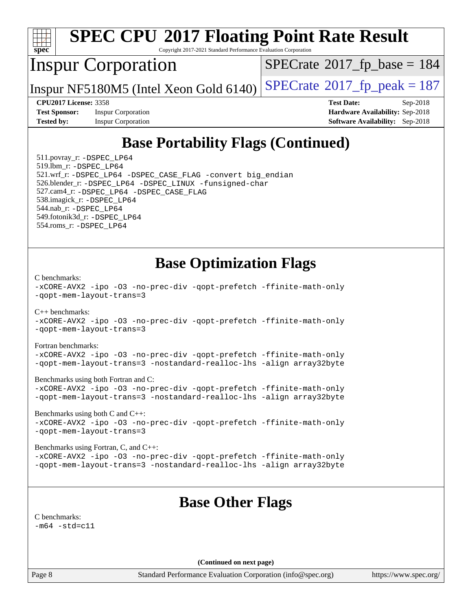

# **[SPEC CPU](http://www.spec.org/auto/cpu2017/Docs/result-fields.html#SPECCPU2017FloatingPointRateResult)[2017 Floating Point Rate Result](http://www.spec.org/auto/cpu2017/Docs/result-fields.html#SPECCPU2017FloatingPointRateResult)**

Copyright 2017-2021 Standard Performance Evaluation Corporation

### Inspur Corporation

 $SPECTate$ <sup>®</sup>[2017\\_fp\\_base =](http://www.spec.org/auto/cpu2017/Docs/result-fields.html#SPECrate2017fpbase) 184

Inspur NF5180M5 (Intel Xeon Gold 6140)  $SPECrate^{\circ}2017_f$  $SPECrate^{\circ}2017_f$  peak = 187

**[Test Sponsor:](http://www.spec.org/auto/cpu2017/Docs/result-fields.html#TestSponsor)** Inspur Corporation **[Hardware Availability:](http://www.spec.org/auto/cpu2017/Docs/result-fields.html#HardwareAvailability)** Sep-2018 **[Tested by:](http://www.spec.org/auto/cpu2017/Docs/result-fields.html#Testedby)** Inspur Corporation **[Software Availability:](http://www.spec.org/auto/cpu2017/Docs/result-fields.html#SoftwareAvailability)** Sep-2018

**[CPU2017 License:](http://www.spec.org/auto/cpu2017/Docs/result-fields.html#CPU2017License)** 3358 **[Test Date:](http://www.spec.org/auto/cpu2017/Docs/result-fields.html#TestDate)** Sep-2018

### **[Base Portability Flags \(Continued\)](http://www.spec.org/auto/cpu2017/Docs/result-fields.html#BasePortabilityFlags)**

 511.povray\_r: [-DSPEC\\_LP64](http://www.spec.org/cpu2017/results/res2018q4/cpu2017-20181001-08974.flags.html#suite_basePORTABILITY511_povray_r_DSPEC_LP64) 519.lbm\_r: [-DSPEC\\_LP64](http://www.spec.org/cpu2017/results/res2018q4/cpu2017-20181001-08974.flags.html#suite_basePORTABILITY519_lbm_r_DSPEC_LP64) 521.wrf\_r: [-DSPEC\\_LP64](http://www.spec.org/cpu2017/results/res2018q4/cpu2017-20181001-08974.flags.html#suite_basePORTABILITY521_wrf_r_DSPEC_LP64) [-DSPEC\\_CASE\\_FLAG](http://www.spec.org/cpu2017/results/res2018q4/cpu2017-20181001-08974.flags.html#b521.wrf_r_baseCPORTABILITY_DSPEC_CASE_FLAG) [-convert big\\_endian](http://www.spec.org/cpu2017/results/res2018q4/cpu2017-20181001-08974.flags.html#user_baseFPORTABILITY521_wrf_r_convert_big_endian_c3194028bc08c63ac5d04de18c48ce6d347e4e562e8892b8bdbdc0214820426deb8554edfa529a3fb25a586e65a3d812c835984020483e7e73212c4d31a38223) 526.blender\_r: [-DSPEC\\_LP64](http://www.spec.org/cpu2017/results/res2018q4/cpu2017-20181001-08974.flags.html#suite_basePORTABILITY526_blender_r_DSPEC_LP64) [-DSPEC\\_LINUX](http://www.spec.org/cpu2017/results/res2018q4/cpu2017-20181001-08974.flags.html#b526.blender_r_baseCPORTABILITY_DSPEC_LINUX) [-funsigned-char](http://www.spec.org/cpu2017/results/res2018q4/cpu2017-20181001-08974.flags.html#user_baseCPORTABILITY526_blender_r_force_uchar_40c60f00ab013830e2dd6774aeded3ff59883ba5a1fc5fc14077f794d777847726e2a5858cbc7672e36e1b067e7e5c1d9a74f7176df07886a243d7cc18edfe67) 527.cam4\_r: [-DSPEC\\_LP64](http://www.spec.org/cpu2017/results/res2018q4/cpu2017-20181001-08974.flags.html#suite_basePORTABILITY527_cam4_r_DSPEC_LP64) [-DSPEC\\_CASE\\_FLAG](http://www.spec.org/cpu2017/results/res2018q4/cpu2017-20181001-08974.flags.html#b527.cam4_r_baseCPORTABILITY_DSPEC_CASE_FLAG) 538.imagick\_r: [-DSPEC\\_LP64](http://www.spec.org/cpu2017/results/res2018q4/cpu2017-20181001-08974.flags.html#suite_basePORTABILITY538_imagick_r_DSPEC_LP64) 544.nab\_r: [-DSPEC\\_LP64](http://www.spec.org/cpu2017/results/res2018q4/cpu2017-20181001-08974.flags.html#suite_basePORTABILITY544_nab_r_DSPEC_LP64) 549.fotonik3d\_r: [-DSPEC\\_LP64](http://www.spec.org/cpu2017/results/res2018q4/cpu2017-20181001-08974.flags.html#suite_basePORTABILITY549_fotonik3d_r_DSPEC_LP64) 554.roms\_r: [-DSPEC\\_LP64](http://www.spec.org/cpu2017/results/res2018q4/cpu2017-20181001-08974.flags.html#suite_basePORTABILITY554_roms_r_DSPEC_LP64)

### **[Base Optimization Flags](http://www.spec.org/auto/cpu2017/Docs/result-fields.html#BaseOptimizationFlags)**

[C benchmarks](http://www.spec.org/auto/cpu2017/Docs/result-fields.html#Cbenchmarks): [-xCORE-AVX2](http://www.spec.org/cpu2017/results/res2018q4/cpu2017-20181001-08974.flags.html#user_CCbase_f-xCORE-AVX2) [-ipo](http://www.spec.org/cpu2017/results/res2018q4/cpu2017-20181001-08974.flags.html#user_CCbase_f-ipo) [-O3](http://www.spec.org/cpu2017/results/res2018q4/cpu2017-20181001-08974.flags.html#user_CCbase_f-O3) [-no-prec-div](http://www.spec.org/cpu2017/results/res2018q4/cpu2017-20181001-08974.flags.html#user_CCbase_f-no-prec-div) [-qopt-prefetch](http://www.spec.org/cpu2017/results/res2018q4/cpu2017-20181001-08974.flags.html#user_CCbase_f-qopt-prefetch) [-ffinite-math-only](http://www.spec.org/cpu2017/results/res2018q4/cpu2017-20181001-08974.flags.html#user_CCbase_f_finite_math_only_cb91587bd2077682c4b38af759c288ed7c732db004271a9512da14a4f8007909a5f1427ecbf1a0fb78ff2a814402c6114ac565ca162485bbcae155b5e4258871) [-qopt-mem-layout-trans=3](http://www.spec.org/cpu2017/results/res2018q4/cpu2017-20181001-08974.flags.html#user_CCbase_f-qopt-mem-layout-trans_de80db37974c74b1f0e20d883f0b675c88c3b01e9d123adea9b28688d64333345fb62bc4a798493513fdb68f60282f9a726aa07f478b2f7113531aecce732043)  $C_{++}$  benchmarks: [-xCORE-AVX2](http://www.spec.org/cpu2017/results/res2018q4/cpu2017-20181001-08974.flags.html#user_CXXbase_f-xCORE-AVX2) [-ipo](http://www.spec.org/cpu2017/results/res2018q4/cpu2017-20181001-08974.flags.html#user_CXXbase_f-ipo) [-O3](http://www.spec.org/cpu2017/results/res2018q4/cpu2017-20181001-08974.flags.html#user_CXXbase_f-O3) [-no-prec-div](http://www.spec.org/cpu2017/results/res2018q4/cpu2017-20181001-08974.flags.html#user_CXXbase_f-no-prec-div) [-qopt-prefetch](http://www.spec.org/cpu2017/results/res2018q4/cpu2017-20181001-08974.flags.html#user_CXXbase_f-qopt-prefetch) [-ffinite-math-only](http://www.spec.org/cpu2017/results/res2018q4/cpu2017-20181001-08974.flags.html#user_CXXbase_f_finite_math_only_cb91587bd2077682c4b38af759c288ed7c732db004271a9512da14a4f8007909a5f1427ecbf1a0fb78ff2a814402c6114ac565ca162485bbcae155b5e4258871) [-qopt-mem-layout-trans=3](http://www.spec.org/cpu2017/results/res2018q4/cpu2017-20181001-08974.flags.html#user_CXXbase_f-qopt-mem-layout-trans_de80db37974c74b1f0e20d883f0b675c88c3b01e9d123adea9b28688d64333345fb62bc4a798493513fdb68f60282f9a726aa07f478b2f7113531aecce732043) [Fortran benchmarks](http://www.spec.org/auto/cpu2017/Docs/result-fields.html#Fortranbenchmarks): [-xCORE-AVX2](http://www.spec.org/cpu2017/results/res2018q4/cpu2017-20181001-08974.flags.html#user_FCbase_f-xCORE-AVX2) [-ipo](http://www.spec.org/cpu2017/results/res2018q4/cpu2017-20181001-08974.flags.html#user_FCbase_f-ipo) [-O3](http://www.spec.org/cpu2017/results/res2018q4/cpu2017-20181001-08974.flags.html#user_FCbase_f-O3) [-no-prec-div](http://www.spec.org/cpu2017/results/res2018q4/cpu2017-20181001-08974.flags.html#user_FCbase_f-no-prec-div) [-qopt-prefetch](http://www.spec.org/cpu2017/results/res2018q4/cpu2017-20181001-08974.flags.html#user_FCbase_f-qopt-prefetch) [-ffinite-math-only](http://www.spec.org/cpu2017/results/res2018q4/cpu2017-20181001-08974.flags.html#user_FCbase_f_finite_math_only_cb91587bd2077682c4b38af759c288ed7c732db004271a9512da14a4f8007909a5f1427ecbf1a0fb78ff2a814402c6114ac565ca162485bbcae155b5e4258871) [-qopt-mem-layout-trans=3](http://www.spec.org/cpu2017/results/res2018q4/cpu2017-20181001-08974.flags.html#user_FCbase_f-qopt-mem-layout-trans_de80db37974c74b1f0e20d883f0b675c88c3b01e9d123adea9b28688d64333345fb62bc4a798493513fdb68f60282f9a726aa07f478b2f7113531aecce732043) [-nostandard-realloc-lhs](http://www.spec.org/cpu2017/results/res2018q4/cpu2017-20181001-08974.flags.html#user_FCbase_f_2003_std_realloc_82b4557e90729c0f113870c07e44d33d6f5a304b4f63d4c15d2d0f1fab99f5daaed73bdb9275d9ae411527f28b936061aa8b9c8f2d63842963b95c9dd6426b8a) [-align array32byte](http://www.spec.org/cpu2017/results/res2018q4/cpu2017-20181001-08974.flags.html#user_FCbase_align_array32byte_b982fe038af199962ba9a80c053b8342c548c85b40b8e86eb3cc33dee0d7986a4af373ac2d51c3f7cf710a18d62fdce2948f201cd044323541f22fc0fffc51b6) [Benchmarks using both Fortran and C](http://www.spec.org/auto/cpu2017/Docs/result-fields.html#BenchmarksusingbothFortranandC): [-xCORE-AVX2](http://www.spec.org/cpu2017/results/res2018q4/cpu2017-20181001-08974.flags.html#user_CC_FCbase_f-xCORE-AVX2) [-ipo](http://www.spec.org/cpu2017/results/res2018q4/cpu2017-20181001-08974.flags.html#user_CC_FCbase_f-ipo) [-O3](http://www.spec.org/cpu2017/results/res2018q4/cpu2017-20181001-08974.flags.html#user_CC_FCbase_f-O3) [-no-prec-div](http://www.spec.org/cpu2017/results/res2018q4/cpu2017-20181001-08974.flags.html#user_CC_FCbase_f-no-prec-div) [-qopt-prefetch](http://www.spec.org/cpu2017/results/res2018q4/cpu2017-20181001-08974.flags.html#user_CC_FCbase_f-qopt-prefetch) [-ffinite-math-only](http://www.spec.org/cpu2017/results/res2018q4/cpu2017-20181001-08974.flags.html#user_CC_FCbase_f_finite_math_only_cb91587bd2077682c4b38af759c288ed7c732db004271a9512da14a4f8007909a5f1427ecbf1a0fb78ff2a814402c6114ac565ca162485bbcae155b5e4258871) [-qopt-mem-layout-trans=3](http://www.spec.org/cpu2017/results/res2018q4/cpu2017-20181001-08974.flags.html#user_CC_FCbase_f-qopt-mem-layout-trans_de80db37974c74b1f0e20d883f0b675c88c3b01e9d123adea9b28688d64333345fb62bc4a798493513fdb68f60282f9a726aa07f478b2f7113531aecce732043) [-nostandard-realloc-lhs](http://www.spec.org/cpu2017/results/res2018q4/cpu2017-20181001-08974.flags.html#user_CC_FCbase_f_2003_std_realloc_82b4557e90729c0f113870c07e44d33d6f5a304b4f63d4c15d2d0f1fab99f5daaed73bdb9275d9ae411527f28b936061aa8b9c8f2d63842963b95c9dd6426b8a) [-align array32byte](http://www.spec.org/cpu2017/results/res2018q4/cpu2017-20181001-08974.flags.html#user_CC_FCbase_align_array32byte_b982fe038af199962ba9a80c053b8342c548c85b40b8e86eb3cc33dee0d7986a4af373ac2d51c3f7cf710a18d62fdce2948f201cd044323541f22fc0fffc51b6) [Benchmarks using both C and C++](http://www.spec.org/auto/cpu2017/Docs/result-fields.html#BenchmarksusingbothCandCXX): [-xCORE-AVX2](http://www.spec.org/cpu2017/results/res2018q4/cpu2017-20181001-08974.flags.html#user_CC_CXXbase_f-xCORE-AVX2) [-ipo](http://www.spec.org/cpu2017/results/res2018q4/cpu2017-20181001-08974.flags.html#user_CC_CXXbase_f-ipo) [-O3](http://www.spec.org/cpu2017/results/res2018q4/cpu2017-20181001-08974.flags.html#user_CC_CXXbase_f-O3) [-no-prec-div](http://www.spec.org/cpu2017/results/res2018q4/cpu2017-20181001-08974.flags.html#user_CC_CXXbase_f-no-prec-div) [-qopt-prefetch](http://www.spec.org/cpu2017/results/res2018q4/cpu2017-20181001-08974.flags.html#user_CC_CXXbase_f-qopt-prefetch) [-ffinite-math-only](http://www.spec.org/cpu2017/results/res2018q4/cpu2017-20181001-08974.flags.html#user_CC_CXXbase_f_finite_math_only_cb91587bd2077682c4b38af759c288ed7c732db004271a9512da14a4f8007909a5f1427ecbf1a0fb78ff2a814402c6114ac565ca162485bbcae155b5e4258871) [-qopt-mem-layout-trans=3](http://www.spec.org/cpu2017/results/res2018q4/cpu2017-20181001-08974.flags.html#user_CC_CXXbase_f-qopt-mem-layout-trans_de80db37974c74b1f0e20d883f0b675c88c3b01e9d123adea9b28688d64333345fb62bc4a798493513fdb68f60282f9a726aa07f478b2f7113531aecce732043) [Benchmarks using Fortran, C, and C++:](http://www.spec.org/auto/cpu2017/Docs/result-fields.html#BenchmarksusingFortranCandCXX) [-xCORE-AVX2](http://www.spec.org/cpu2017/results/res2018q4/cpu2017-20181001-08974.flags.html#user_CC_CXX_FCbase_f-xCORE-AVX2) [-ipo](http://www.spec.org/cpu2017/results/res2018q4/cpu2017-20181001-08974.flags.html#user_CC_CXX_FCbase_f-ipo) [-O3](http://www.spec.org/cpu2017/results/res2018q4/cpu2017-20181001-08974.flags.html#user_CC_CXX_FCbase_f-O3) [-no-prec-div](http://www.spec.org/cpu2017/results/res2018q4/cpu2017-20181001-08974.flags.html#user_CC_CXX_FCbase_f-no-prec-div) [-qopt-prefetch](http://www.spec.org/cpu2017/results/res2018q4/cpu2017-20181001-08974.flags.html#user_CC_CXX_FCbase_f-qopt-prefetch) [-ffinite-math-only](http://www.spec.org/cpu2017/results/res2018q4/cpu2017-20181001-08974.flags.html#user_CC_CXX_FCbase_f_finite_math_only_cb91587bd2077682c4b38af759c288ed7c732db004271a9512da14a4f8007909a5f1427ecbf1a0fb78ff2a814402c6114ac565ca162485bbcae155b5e4258871) [-qopt-mem-layout-trans=3](http://www.spec.org/cpu2017/results/res2018q4/cpu2017-20181001-08974.flags.html#user_CC_CXX_FCbase_f-qopt-mem-layout-trans_de80db37974c74b1f0e20d883f0b675c88c3b01e9d123adea9b28688d64333345fb62bc4a798493513fdb68f60282f9a726aa07f478b2f7113531aecce732043) [-nostandard-realloc-lhs](http://www.spec.org/cpu2017/results/res2018q4/cpu2017-20181001-08974.flags.html#user_CC_CXX_FCbase_f_2003_std_realloc_82b4557e90729c0f113870c07e44d33d6f5a304b4f63d4c15d2d0f1fab99f5daaed73bdb9275d9ae411527f28b936061aa8b9c8f2d63842963b95c9dd6426b8a) [-align array32byte](http://www.spec.org/cpu2017/results/res2018q4/cpu2017-20181001-08974.flags.html#user_CC_CXX_FCbase_align_array32byte_b982fe038af199962ba9a80c053b8342c548c85b40b8e86eb3cc33dee0d7986a4af373ac2d51c3f7cf710a18d62fdce2948f201cd044323541f22fc0fffc51b6)

### **[Base Other Flags](http://www.spec.org/auto/cpu2017/Docs/result-fields.html#BaseOtherFlags)**

[C benchmarks](http://www.spec.org/auto/cpu2017/Docs/result-fields.html#Cbenchmarks):  $-m64 - std= c11$  $-m64 - std= c11$ 

**(Continued on next page)**

Page 8 Standard Performance Evaluation Corporation [\(info@spec.org\)](mailto:info@spec.org) <https://www.spec.org/>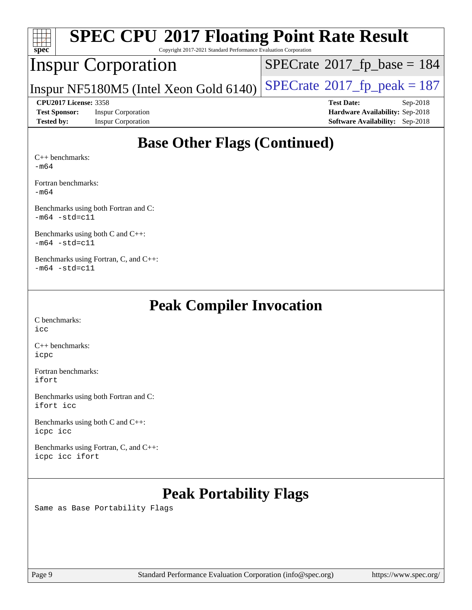| <b>SPEC CPU®2017 Floating Point Rate Result</b><br>Spec<br>Copyright 2017-2021 Standard Performance Evaluation Corporation |                                        |                                              |  |  |  |  |
|----------------------------------------------------------------------------------------------------------------------------|----------------------------------------|----------------------------------------------|--|--|--|--|
|                                                                                                                            | <b>Inspur Corporation</b>              | $SPECrate^{\circledcirc}2017_fp\_base = 184$ |  |  |  |  |
|                                                                                                                            | Inspur NF5180M5 (Intel Xeon Gold 6140) | $SPECrate^{\circledcirc}2017$ fp peak = 187  |  |  |  |  |
| <b>CPU2017 License: 3358</b>                                                                                               |                                        | <b>Test Date:</b><br>$Sep-2018$              |  |  |  |  |
| <b>Test Sponsor:</b>                                                                                                       | <b>Inspur Corporation</b>              | Hardware Availability: Sep-2018              |  |  |  |  |
| <b>Tested by:</b>                                                                                                          | <b>Inspur Corporation</b>              | Software Availability: Sep-2018              |  |  |  |  |
| $C_{++}$ benchmarks:                                                                                                       | <b>Base Other Flags (Continued)</b>    |                                              |  |  |  |  |

[-m64](http://www.spec.org/cpu2017/results/res2018q4/cpu2017-20181001-08974.flags.html#user_CXXbase_intel_intel64_18.0_af43caccfc8ded86e7699f2159af6efc7655f51387b94da716254467f3c01020a5059329e2569e4053f409e7c9202a7efc638f7a6d1ffb3f52dea4a3e31d82ab)

[Fortran benchmarks](http://www.spec.org/auto/cpu2017/Docs/result-fields.html#Fortranbenchmarks): [-m64](http://www.spec.org/cpu2017/results/res2018q4/cpu2017-20181001-08974.flags.html#user_FCbase_intel_intel64_18.0_af43caccfc8ded86e7699f2159af6efc7655f51387b94da716254467f3c01020a5059329e2569e4053f409e7c9202a7efc638f7a6d1ffb3f52dea4a3e31d82ab)

[Benchmarks using both Fortran and C](http://www.spec.org/auto/cpu2017/Docs/result-fields.html#BenchmarksusingbothFortranandC):

[-m64](http://www.spec.org/cpu2017/results/res2018q4/cpu2017-20181001-08974.flags.html#user_CC_FCbase_intel_intel64_18.0_af43caccfc8ded86e7699f2159af6efc7655f51387b94da716254467f3c01020a5059329e2569e4053f409e7c9202a7efc638f7a6d1ffb3f52dea4a3e31d82ab) [-std=c11](http://www.spec.org/cpu2017/results/res2018q4/cpu2017-20181001-08974.flags.html#user_CC_FCbase_intel_compiler_c11_mode_0e1c27790398a4642dfca32ffe6c27b5796f9c2d2676156f2e42c9c44eaad0c049b1cdb667a270c34d979996257aeb8fc440bfb01818dbc9357bd9d174cb8524)

[Benchmarks using both C and C++](http://www.spec.org/auto/cpu2017/Docs/result-fields.html#BenchmarksusingbothCandCXX): [-m64](http://www.spec.org/cpu2017/results/res2018q4/cpu2017-20181001-08974.flags.html#user_CC_CXXbase_intel_intel64_18.0_af43caccfc8ded86e7699f2159af6efc7655f51387b94da716254467f3c01020a5059329e2569e4053f409e7c9202a7efc638f7a6d1ffb3f52dea4a3e31d82ab) [-std=c11](http://www.spec.org/cpu2017/results/res2018q4/cpu2017-20181001-08974.flags.html#user_CC_CXXbase_intel_compiler_c11_mode_0e1c27790398a4642dfca32ffe6c27b5796f9c2d2676156f2e42c9c44eaad0c049b1cdb667a270c34d979996257aeb8fc440bfb01818dbc9357bd9d174cb8524)

[Benchmarks using Fortran, C, and C++:](http://www.spec.org/auto/cpu2017/Docs/result-fields.html#BenchmarksusingFortranCandCXX)  $-m64$   $-std=cl1$ 

### **[Peak Compiler Invocation](http://www.spec.org/auto/cpu2017/Docs/result-fields.html#PeakCompilerInvocation)**

[C benchmarks](http://www.spec.org/auto/cpu2017/Docs/result-fields.html#Cbenchmarks): [icc](http://www.spec.org/cpu2017/results/res2018q4/cpu2017-20181001-08974.flags.html#user_CCpeak_intel_icc_18.0_66fc1ee009f7361af1fbd72ca7dcefbb700085f36577c54f309893dd4ec40d12360134090235512931783d35fd58c0460139e722d5067c5574d8eaf2b3e37e92)

[C++ benchmarks:](http://www.spec.org/auto/cpu2017/Docs/result-fields.html#CXXbenchmarks) [icpc](http://www.spec.org/cpu2017/results/res2018q4/cpu2017-20181001-08974.flags.html#user_CXXpeak_intel_icpc_18.0_c510b6838c7f56d33e37e94d029a35b4a7bccf4766a728ee175e80a419847e808290a9b78be685c44ab727ea267ec2f070ec5dc83b407c0218cded6866a35d07)

[Fortran benchmarks](http://www.spec.org/auto/cpu2017/Docs/result-fields.html#Fortranbenchmarks): [ifort](http://www.spec.org/cpu2017/results/res2018q4/cpu2017-20181001-08974.flags.html#user_FCpeak_intel_ifort_18.0_8111460550e3ca792625aed983ce982f94888b8b503583aa7ba2b8303487b4d8a21a13e7191a45c5fd58ff318f48f9492884d4413fa793fd88dd292cad7027ca)

[Benchmarks using both Fortran and C](http://www.spec.org/auto/cpu2017/Docs/result-fields.html#BenchmarksusingbothFortranandC): [ifort](http://www.spec.org/cpu2017/results/res2018q4/cpu2017-20181001-08974.flags.html#user_CC_FCpeak_intel_ifort_18.0_8111460550e3ca792625aed983ce982f94888b8b503583aa7ba2b8303487b4d8a21a13e7191a45c5fd58ff318f48f9492884d4413fa793fd88dd292cad7027ca) [icc](http://www.spec.org/cpu2017/results/res2018q4/cpu2017-20181001-08974.flags.html#user_CC_FCpeak_intel_icc_18.0_66fc1ee009f7361af1fbd72ca7dcefbb700085f36577c54f309893dd4ec40d12360134090235512931783d35fd58c0460139e722d5067c5574d8eaf2b3e37e92)

[Benchmarks using both C and C++](http://www.spec.org/auto/cpu2017/Docs/result-fields.html#BenchmarksusingbothCandCXX): [icpc](http://www.spec.org/cpu2017/results/res2018q4/cpu2017-20181001-08974.flags.html#user_CC_CXXpeak_intel_icpc_18.0_c510b6838c7f56d33e37e94d029a35b4a7bccf4766a728ee175e80a419847e808290a9b78be685c44ab727ea267ec2f070ec5dc83b407c0218cded6866a35d07) [icc](http://www.spec.org/cpu2017/results/res2018q4/cpu2017-20181001-08974.flags.html#user_CC_CXXpeak_intel_icc_18.0_66fc1ee009f7361af1fbd72ca7dcefbb700085f36577c54f309893dd4ec40d12360134090235512931783d35fd58c0460139e722d5067c5574d8eaf2b3e37e92)

[Benchmarks using Fortran, C, and C++:](http://www.spec.org/auto/cpu2017/Docs/result-fields.html#BenchmarksusingFortranCandCXX) [icpc](http://www.spec.org/cpu2017/results/res2018q4/cpu2017-20181001-08974.flags.html#user_CC_CXX_FCpeak_intel_icpc_18.0_c510b6838c7f56d33e37e94d029a35b4a7bccf4766a728ee175e80a419847e808290a9b78be685c44ab727ea267ec2f070ec5dc83b407c0218cded6866a35d07) [icc](http://www.spec.org/cpu2017/results/res2018q4/cpu2017-20181001-08974.flags.html#user_CC_CXX_FCpeak_intel_icc_18.0_66fc1ee009f7361af1fbd72ca7dcefbb700085f36577c54f309893dd4ec40d12360134090235512931783d35fd58c0460139e722d5067c5574d8eaf2b3e37e92) [ifort](http://www.spec.org/cpu2017/results/res2018q4/cpu2017-20181001-08974.flags.html#user_CC_CXX_FCpeak_intel_ifort_18.0_8111460550e3ca792625aed983ce982f94888b8b503583aa7ba2b8303487b4d8a21a13e7191a45c5fd58ff318f48f9492884d4413fa793fd88dd292cad7027ca)

## **[Peak Portability Flags](http://www.spec.org/auto/cpu2017/Docs/result-fields.html#PeakPortabilityFlags)**

Same as Base Portability Flags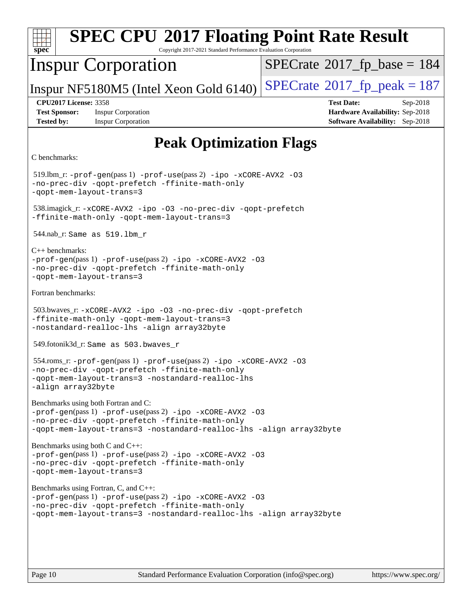| <b>SPEC CPU®2017 Floating Point Rate Result</b><br>spec<br>Copyright 2017-2021 Standard Performance Evaluation Corporation                                                                                                  |                                                                                                     |  |  |  |  |
|-----------------------------------------------------------------------------------------------------------------------------------------------------------------------------------------------------------------------------|-----------------------------------------------------------------------------------------------------|--|--|--|--|
| <b>Inspur Corporation</b>                                                                                                                                                                                                   | $SPECrate^{\circ}2017$ [p base = 184                                                                |  |  |  |  |
| Inspur NF5180M5 (Intel Xeon Gold 6140)                                                                                                                                                                                      | $SPECrate@2017_fp\_peak = 187$                                                                      |  |  |  |  |
| <b>CPU2017 License: 3358</b><br><b>Test Sponsor:</b><br><b>Inspur Corporation</b><br><b>Tested by:</b><br><b>Inspur Corporation</b>                                                                                         | <b>Test Date:</b><br>Sep-2018<br>Hardware Availability: Sep-2018<br>Software Availability: Sep-2018 |  |  |  |  |
| <b>Peak Optimization Flags</b>                                                                                                                                                                                              |                                                                                                     |  |  |  |  |
| C benchmarks:                                                                                                                                                                                                               |                                                                                                     |  |  |  |  |
| $519$ .lbm_r: -prof-gen(pass 1) -prof-use(pass 2) -ipo -xCORE-AVX2 -03<br>-no-prec-div -qopt-prefetch -ffinite-math-only<br>-qopt-mem-layout-trans=3                                                                        |                                                                                                     |  |  |  |  |
| 538.imagick_r:-xCORE-AVX2 -ipo -03 -no-prec-div -qopt-prefetch<br>-ffinite-math-only -qopt-mem-layout-trans=3                                                                                                               |                                                                                                     |  |  |  |  |
| 544.nab_r: Same as 519.1bm_r                                                                                                                                                                                                |                                                                                                     |  |  |  |  |
| $C_{++}$ benchmarks:<br>$-prof-gen(pass 1) -prof-use(pass 2) -ipo -xCORE-AVX2 -O3$<br>-no-prec-div -qopt-prefetch -ffinite-math-only<br>-qopt-mem-layout-trans=3                                                            |                                                                                                     |  |  |  |  |
| Fortran benchmarks:                                                                                                                                                                                                         |                                                                                                     |  |  |  |  |
| 503.bwaves_r:-xCORE-AVX2 -ipo -03 -no-prec-div -qopt-prefetch<br>-ffinite-math-only -qopt-mem-layout-trans=3<br>-nostandard-realloc-lhs -align array32byte                                                                  |                                                                                                     |  |  |  |  |
| 549.fotonik3d_r: Same as 503.bwaves_r                                                                                                                                                                                       |                                                                                                     |  |  |  |  |
| 554.roms_r: -prof-gen(pass 1) -prof-use(pass 2) -ipo -xCORE-AVX2 -03<br>-no-prec-div -qopt-prefetch -ffinite-math-only<br>-qopt-mem-layout-trans=3 -nostandard-realloc-lhs<br>-align array32byte                            |                                                                                                     |  |  |  |  |
| Benchmarks using both Fortran and C:<br>$-prof-gen(pass 1) -prof-use(pass 2) -ipo -xCORE-AVX2 -03$<br>-no-prec-div -qopt-prefetch -ffinite-math-only<br>-qopt-mem-layout-trans=3 -nostandard-realloc-lhs -align array32byte |                                                                                                     |  |  |  |  |
| Benchmarks using both C and C++:<br>$-prof-gen(pass 1) -prof-use(pass 2) -ipo -xCORE-AVX2 -03$<br>-no-prec-div -qopt-prefetch -ffinite-math-only<br>-qopt-mem-layout-trans=3                                                |                                                                                                     |  |  |  |  |
| Benchmarks using Fortran, C, and C++:<br>-prof-gen(pass 1) -prof-use(pass 2) -ipo -xCORE-AVX2 -03<br>-no-prec-div -qopt-prefetch -ffinite-math-only<br>-qopt-mem-layout-trans=3 -nostandard-realloc-lhs -align array32byte  |                                                                                                     |  |  |  |  |
|                                                                                                                                                                                                                             |                                                                                                     |  |  |  |  |